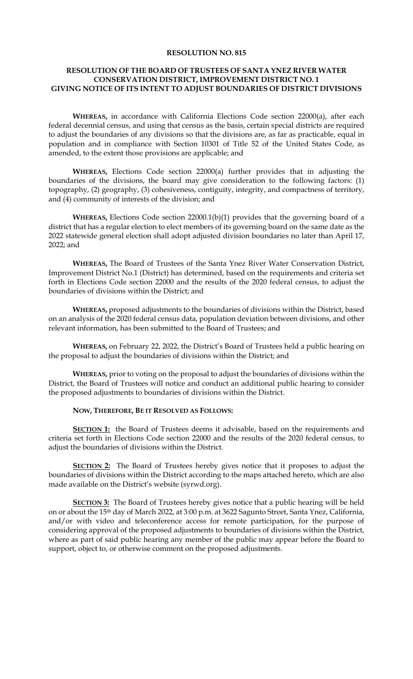## **RESOLUTION NO. 815**

## **RESOLUTION OF THE BOARD OF TRUSTEES OF SANTA YNEZ RIVER WATER CONSERVATION DISTRICT, IMPROVEMENT DISTRICT NO. 1 GIVING NOTICE OF ITS INTENT TO ADJUST BOUNDARIES OF DISTRICT DIVISIONS**

**WHEREAS,** in accordance with California Elections Code section 22000(a), after each federal decennial census, and using that census as the basis, certain special districts are required to adjust the boundaries of any divisions so that the divisions are, as far as practicable, equal in population and in compliance with Section 10301 of Title 52 of the United States Code, as amended, to the extent those provisions are applicable; and

**WHEREAS,** Elections Code section 22000(a) further provides that in adjusting the boundaries of the divisions, the board may give consideration to the following factors: (1) topography, (2) geography, (3) cohesiveness, contiguity, integrity, and compactness of territory, and (4) community of interests of the division; and

**WHEREAS,** Elections Code section 22000.1(b)(1) provides that the governing board of a district that has a regular election to elect members of its governing board on the same date as the 2022 statewide general election shall adopt adjusted division boundaries no later than April 17, 2022; and

**WHEREAS,** The Board of Trustees of the Santa Ynez River Water Conservation District, Improvement District No.1 (District) has determined, based on the requirements and criteria set forth in Elections Code section 22000 and the results of the 2020 federal census, to adjust the boundaries of divisions within the District; and

**WHEREAS,** proposed adjustments to the boundaries of divisions within the District, based on an analysis of the 2020 federal census data, population deviation between divisions, and other relevant information, has been submitted to the Board of Trustees; and

**WHEREAS,** on February 22, 2022, the District's Board of Trustees held a public hearing on the proposal to adjust the boundaries of divisions within the District; and

**WHEREAS,** prior to voting on the proposal to adjust the boundaries of divisions within the District, the Board of Trustees will notice and conduct an additional public hearing to consider the proposed adjustments to boundaries of divisions within the District.

**NOW, THEREFORE, BE IT RESOLVED AS FOLLOWS:** 

**SECTION 1:** the Board of Trustees deems it advisable, based on the requirements and criteria set forth in Elections Code section 22000 and the results of the 2020 federal census, to adjust the boundaries of divisions within the District.

**SECTION 2:** The Board of Trustees hereby gives notice that it proposes to adjust the boundaries of divisions within the District according to the maps attached hereto, which are also made available on the District's website (syrwd.org).

**SECTION 3:** The Board of Trustees hereby gives notice that a public hearing will be held on or about the 15th day of March 2022, at 3:00 p.m. at 3622 Sagunto Street, Santa Ynez, California, and/or with video and teleconference access for remote participation, for the purpose of considering approval of the proposed adjustments to boundaries of divisions within the District, where as part of said public hearing any member of the public may appear before the Board to support, object to, or otherwise comment on the proposed adjustments.